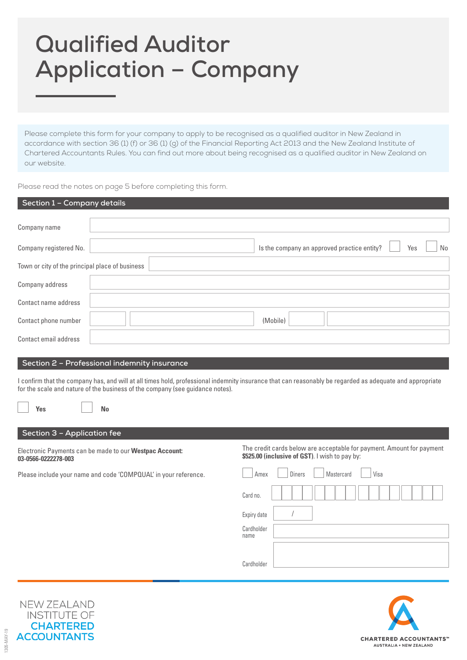# **Qualified Auditor Application – Company**

Please complete this form for your company to apply to be recognised as a qualified auditor in New Zealand in accordance with section 36 (1) (f) or 36 (1) (g) of the Financial Reporting Act 2013 and the New Zealand Institute of Chartered Accountants Rules. You can find out more about being recognised as a qualified auditor in New Zealand on our website.

Please read the notes on page 5 before completing this form.

| Section 1 - Company details                                                                                                                                                                                                                                                                                                                         |                                                                                                                         |
|-----------------------------------------------------------------------------------------------------------------------------------------------------------------------------------------------------------------------------------------------------------------------------------------------------------------------------------------------------|-------------------------------------------------------------------------------------------------------------------------|
| Company name                                                                                                                                                                                                                                                                                                                                        |                                                                                                                         |
| Company registered No.                                                                                                                                                                                                                                                                                                                              | Is the company an approved practice entity?<br>Yes<br>No                                                                |
| Town or city of the principal place of business                                                                                                                                                                                                                                                                                                     |                                                                                                                         |
| Company address                                                                                                                                                                                                                                                                                                                                     |                                                                                                                         |
| Contact name address                                                                                                                                                                                                                                                                                                                                |                                                                                                                         |
| Contact phone number                                                                                                                                                                                                                                                                                                                                | (Mobile)                                                                                                                |
| Contact email address                                                                                                                                                                                                                                                                                                                               |                                                                                                                         |
| Section 2 - Professional indemnity insurance<br>I confirm that the company has, and will at all times hold, professional indemnity insurance that can reasonably be regarded as adequate and appropriate<br>for the scale and nature of the business of the company (see guidance notes).<br><b>No</b><br><b>Yes</b><br>Section 3 - Application fee |                                                                                                                         |
| Electronic Payments can be made to our Westpac Account:<br>03-0566-0222278-003                                                                                                                                                                                                                                                                      | The credit cards below are acceptable for payment. Amount for payment<br>\$525.00 (inclusive of GST). I wish to pay by: |
| Please include your name and code 'COMPQUAL' in your reference.                                                                                                                                                                                                                                                                                     | Diners<br>Mastercard<br>Amex<br>Visa                                                                                    |
|                                                                                                                                                                                                                                                                                                                                                     | Card no.                                                                                                                |
|                                                                                                                                                                                                                                                                                                                                                     | Expiry date                                                                                                             |
|                                                                                                                                                                                                                                                                                                                                                     | Cardholder<br>name                                                                                                      |
|                                                                                                                                                                                                                                                                                                                                                     | Cardholder                                                                                                              |





305-MAY-19 1305-MAY-19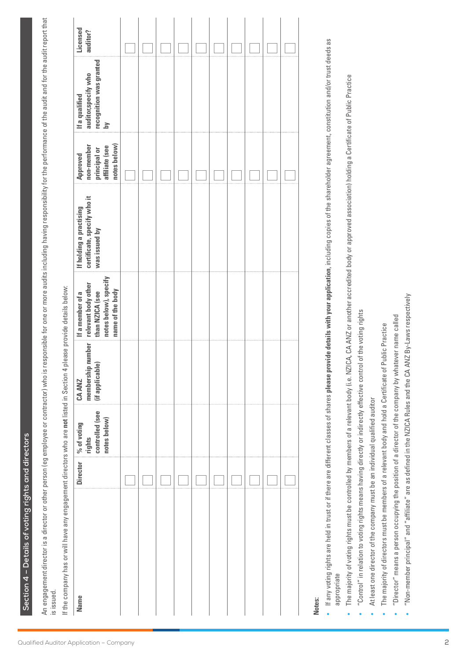Section 4 - Details of voting rights and directors **Section 4 – Details of voting rights and directors** An engagement director is a director or other person (eg employee or contractor) who is responsible for one or more audits including having responsibility for the performance of the audit and for the audit report that An engagement director or other person (eg employee or contractor) who is responsible for one or more audits including having responsibility for the performance of the audit and for the audit report that is issued.

If the company has or will have any engagement directors who are not listed in Section 4 please provide details below: If the company has or will have any engagement directors who are **not** listed in Section 4 please provide details below:

| <b>Name</b> | controlled (see<br>notes below)<br>Director   % of voting<br>  rights | CA ANZ | notes below), specify<br>name of the body<br>If a member of a | certificate, specify who it<br>If holding a practising<br>was issued by | non-member<br>notes below)<br>affiliate (see<br>principal or<br>Approved | recognition was granted<br>If a qualified<br>auditor,specify who<br>$\geq$ | Licensed<br>auditor? |
|-------------|-----------------------------------------------------------------------|--------|---------------------------------------------------------------|-------------------------------------------------------------------------|--------------------------------------------------------------------------|----------------------------------------------------------------------------|----------------------|
|             |                                                                       |        |                                                               |                                                                         |                                                                          |                                                                            |                      |
|             |                                                                       |        |                                                               |                                                                         |                                                                          |                                                                            |                      |
|             |                                                                       |        |                                                               |                                                                         |                                                                          |                                                                            |                      |
|             |                                                                       |        |                                                               |                                                                         |                                                                          |                                                                            |                      |
|             |                                                                       |        |                                                               |                                                                         |                                                                          |                                                                            |                      |
|             |                                                                       |        |                                                               |                                                                         |                                                                          |                                                                            |                      |
|             |                                                                       |        |                                                               |                                                                         |                                                                          |                                                                            |                      |
|             |                                                                       |        |                                                               |                                                                         |                                                                          |                                                                            |                      |
|             |                                                                       |        |                                                               |                                                                         |                                                                          |                                                                            |                      |
|             |                                                                       |        |                                                               |                                                                         |                                                                          |                                                                            |                      |

# **Notes:**

- If any voting rights are held in trust or if there are different classes of shares please provide details with your application, including copies of the shareholder agreement, constitution and/or trust deeds as If any voting rights are held in trust or if there are different classes of shares **please provide details with your application**, including copies of the shareholder agreement, constitution and/or trust deeds as appropriate
- The majority of voting rights must be controlled by members of a relevant body (i.e. NZICA, CA ANZ or another accredited body or approved association) holding a Certificate of Public Practice The majority of voting rights must be controlled by members of a relevant body (i.e. NZICA, CA ANZ or another accredited body or approved association) holding a Certificate of Public Practice •
	- "Control" in relation to voting rights means having directly or indirectly effective control of the voting rights  $\bullet$  "Control" in relation to voting rights means having directly or indirectly effective control of the voting rights •
- At least one director of the company must be an individual qualified auditor At least one director of the company must be an individual qualified auditor •
- The majority of directors must be members of a relevant body and hold a Certificate of Public Practice The majority of directors must be members of a relevant body and hold a Certificate of Public Practice

•

- "Director" means a person occupying the position of a director of the company by whatever name called "Director" means a person occupying the position of a director of the company by whatever name called •
- "Non-member principal" and "affiliate" are as defined in the NZICA Rules and the CA ANZ By-Laws respectively "Non-member principal" and "affiliate" are as defined in the NZICA Rules and the CA ANZ By-Laws respectively•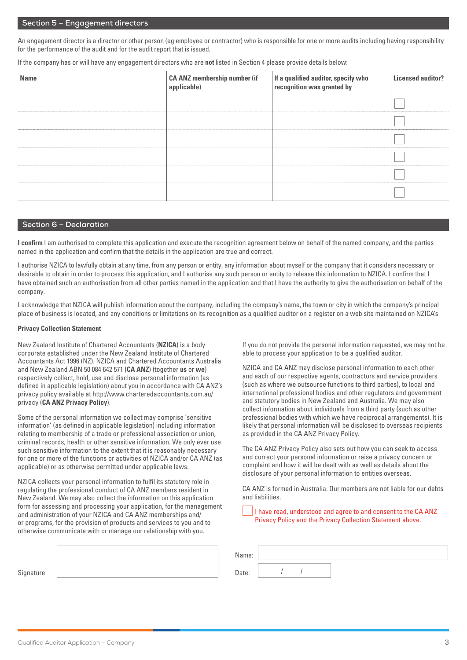#### **Section 5 – Engagement directors**

An engagement director is a director or other person (eg employee or contractor) who is responsible for one or more audits including having responsibility for the performance of the audit and for the audit report that is issued.

If the company has or will have any engagement directors who are **not** listed in Section 4 please provide details below:

| <b>Name</b> | <b>CA ANZ membership number (if</b><br>applicable) | If a qualified auditor, specify who<br>recognition was granted by | <b>Licensed auditor?</b> |
|-------------|----------------------------------------------------|-------------------------------------------------------------------|--------------------------|
|             |                                                    |                                                                   |                          |
|             |                                                    |                                                                   |                          |
|             |                                                    |                                                                   |                          |
|             |                                                    |                                                                   |                          |
|             |                                                    |                                                                   |                          |
|             |                                                    |                                                                   |                          |

#### **Section 6 – Declaration**

**I confirm** I am authorised to complete this application and execute the recognition agreement below on behalf of the named company, and the parties named in the application and confirm that the details in the application are true and correct.

I authorise NZICA to lawfully obtain at any time, from any person or entity, any information about myself or the company that it considers necessary or desirable to obtain in order to process this application, and I authorise any such person or entity to release this information to NZICA. I confirm that I have obtained such an authorisation from all other parties named in the application and that I have the authority to give the authorisation on behalf of the company.

I acknowledge that NZICA will publish information about the company, including the company's name, the town or city in which the company's principal place of business is located, and any conditions or limitations on its recognition as a qualified auditor on a register on a web site maintained on NZICA's

#### **Privacy Collection Statement**

New Zealand Institute of Chartered Accountants (**NZICA**) is a body corporate established under the New Zealand Institute of Chartered Accountants Act 1996 (NZ). NZICA and Chartered Accountants Australia and New Zealand ABN 50 084 642 571 (**CA ANZ**) (together **us** or **we**) respectively collect, hold, use and disclose personal information (as defined in applicable legislation) about you in accordance with CA ANZ's privacy policy available at http://www.charteredaccountants.com.au/ privacy (**CA ANZ Privacy Policy**).

Some of the personal information we collect may comprise 'sensitive information' (as defined in applicable legislation) including information relating to membership of a trade or professional association or union, criminal records, health or other sensitive information. We only ever use such sensitive information to the extent that it is reasonably necessary for one or more of the functions or activities of NZICA and/or CA ANZ (as applicable) or as otherwise permitted under applicable laws.

NZICA collects your personal information to fulfil its statutory role in regulating the professional conduct of CA ANZ members resident in New Zealand. We may also collect the information on this application form for assessing and processing your application, for the management and administration of your NZICA and CA ANZ memberships and/ or programs, for the provision of products and services to you and to otherwise communicate with or manage our relationship with you.

If you do not provide the personal information requested, we may not be able to process your application to be a qualified auditor.

NZICA and CA ANZ may disclose personal information to each other and each of our respective agents, contractors and service providers (such as where we outsource functions to third parties), to local and international professional bodies and other regulators and government and statutory bodies in New Zealand and Australia. We may also collect information about individuals from a third party (such as other professional bodies with which we have reciprocal arrangements). It is likely that personal information will be disclosed to overseas recipients as provided in the CA ANZ Privacy Policy.

The CA ANZ Privacy Policy also sets out how you can seek to access and correct your personal information or raise a privacy concern or complaint and how it will be dealt with as well as details about the disclosure of your personal information to entities overseas.

CA ANZ is formed in Australia. Our members are not liable for our debts and liabilities.

I have read, understood and agree to and consent to the CA ANZ Privacy Policy and the Privacy Collection Statement above.

|           | Name: |  |  |
|-----------|-------|--|--|
| Signature | Date: |  |  |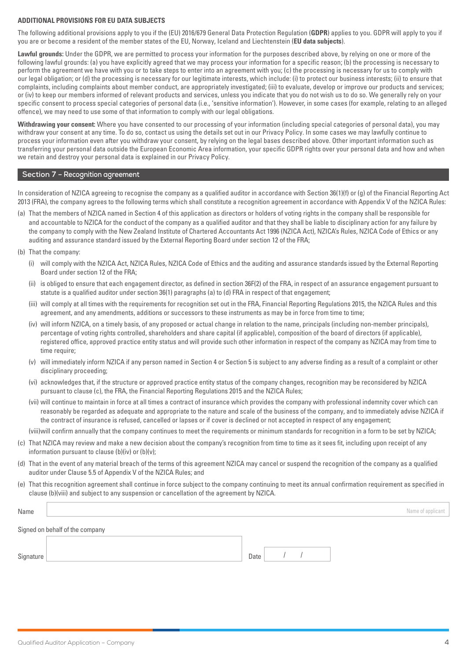#### **ADDITIONAL PROVISIONS FOR EU DATA SUBJECTS**

The following additional provisions apply to you if the (EU) 2016/679 General Data Protection Regulation (**GDPR**) applies to you. GDPR will apply to you if you are or become a resident of the member states of the EU, Norway, Iceland and Liechtenstein (**EU data subjects**).

**Lawful grounds:** Under the GDPR, we are permitted to process your information for the purposes described above, by relying on one or more of the following lawful grounds: (a) you have explicitly agreed that we may process your information for a specific reason; (b) the processing is necessary to perform the agreement we have with you or to take steps to enter into an agreement with you; (c) the processing is necessary for us to comply with our legal obligation; or (d) the processing is necessary for our legitimate interests, which include: (i) to protect our business interests; (ii) to ensure that complaints, including complaints about member conduct, are appropriately investigated; (iii) to evaluate, develop or improve our products and services; or (iv) to keep our members informed of relevant products and services, unless you indicate that you do not wish us to do so. We generally rely on your specific consent to process special categories of personal data (i.e., 'sensitive information'). However, in some cases (for example, relating to an alleged offence), we may need to use some of that information to comply with our legal obligations.

**Withdrawing your consent:** Where you have consented to our processing of your information (including special categories of personal data), you may withdraw your consent at any time. To do so, contact us using the details set out in our Privacy Policy. In some cases we may lawfully continue to process your information even after you withdraw your consent, by relying on the legal bases described above. Other important information such as transferring your personal data outside the European Economic Area information, your specific GDPR rights over your personal data and how and when we retain and destroy your personal data is explained in our Privacy Policy.

#### **Section 7 – Recognition agreement**

In consideration of NZICA agreeing to recognise the company as a qualified auditor in accordance with Section 36(1)(f) or (g) of the Financial Reporting Act 2013 (FRA), the company agrees to the following terms which shall constitute a recognition agreement in accordance with Appendix V of the NZICA Rules:

- (a) That the members of NZICA named in Section 4 of this application as directors or holders of voting rights in the company shall be responsible for and accountable to NZICA for the conduct of the company as a qualified auditor and that they shall be liable to disciplinary action for any failure by the company to comply with the New Zealand Institute of Chartered Accountants Act 1996 (NZICA Act), NZICA's Rules, NZICA Code of Ethics or any auditing and assurance standard issued by the External Reporting Board under section 12 of the FRA;
- (b) That the company:
	- (i) will comply with the NZICA Act, NZICA Rules, NZICA Code of Ethics and the auditing and assurance standards issued by the External Reporting Board under section 12 of the FRA;
	- (ii) is obliged to ensure that each engagement director, as defined in section 36F(2) of the FRA, in respect of an assurance engagement pursuant to statute is a qualified auditor under section 36(1) paragraphs (a) to (d) FRA in respect of that engagement;
	- (iii) will comply at all times with the requirements for recognition set out in the FRA, Financial Reporting Regulations 2015, the NZICA Rules and this agreement, and any amendments, additions or successors to these instruments as may be in force from time to time;
	- (iv) will inform NZICA, on a timely basis, of any proposed or actual change in relation to the name, principals (including non-member principals), percentage of voting rights controlled, shareholders and share capital (if applicable), composition of the board of directors (if applicable), registered office, approved practice entity status and will provide such other information in respect of the company as NZICA may from time to time require;
	- (v) will immediately inform NZICA if any person named in Section 4 or Section 5 is subject to any adverse finding as a result of a complaint or other disciplinary proceeding;
	- (vi) acknowledges that, if the structure or approved practice entity status of the company changes, recognition may be reconsidered by NZICA pursuant to clause (c), the FRA, the Financial Reporting Regulations 2015 and the NZICA Rules;
	- (vii) will continue to maintain in force at all times a contract of insurance which provides the company with professional indemnity cover which can reasonably be regarded as adequate and appropriate to the nature and scale of the business of the company, and to immediately advise NZICA if the contract of insurance is refused, cancelled or lapses or if cover is declined or not accepted in respect of any engagement;

(viii)will confirm annually that the company continues to meet the requirements or minimum standards for recognition in a form to be set by NZICA;

- (c) That NZICA may review and make a new decision about the company's recognition from time to time as it sees fit, including upon receipt of any information pursuant to clause (b)(iv) or (b)(v);
- (d) That in the event of any material breach of the terms of this agreement NZICA may cancel or suspend the recognition of the company as a qualified auditor under Clause 5.5 of Appendix V of the NZICA Rules; and
- (e) That this recognition agreement shall continue in force subject to the company continuing to meet its annual confirmation requirement as specified in clause (b)(viii) and subject to any suspension or cancellation of the agreement by NZICA.

| Name |                                 | Name of applicant $\parallel$ |
|------|---------------------------------|-------------------------------|
|      | Signed on behalf of the company |                               |
|      |                                 |                               |

| $\sim$ | ____ |  |  |
|--------|------|--|--|
|        |      |  |  |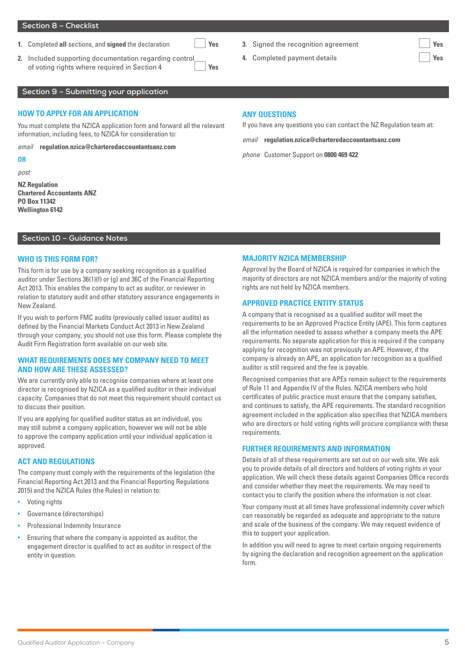#### **Section 8 – Checklist**

- **1.** Completed **all** sections, and **signed** the declaration **Yes**
- **2.** Included supporting documentation regarding control of voting rights where required in Section 4 **Yes**
- **3.** Signed the recognition agreement **Yes**
- **4.** Completed payment details **Yes**

# **Section 9 – Submitting your application**

#### **HOW TO APPLY FOR AN APPLICATION**

You must complete the NZICA application form and forward all the relevant information, including fees, to NZICA for consideration to:

*email* **[regulation.nzica@charteredaccountantsanz.com](mailto:regulation.nzica@charteredaccountantsanz.com)**

#### **OR**

*post*

**NZ Regulation Chartered Accountants ANZ PO Box 11342 Wellington 6142**

# **Section 10 – Guidance Notes**

#### **WHO IS THIS FORM FOR?**

This form is for use by a company seeking recognition as a qualified auditor under Sections 36(1)(f) or (g) and 36C of the Financial Reporting Act 2013. This enables the company to act as auditor, or reviewer in relation to statutory audit and other statutory assurance engagements in New Zealand.

If you wish to perform FMC audits (previously called issuer audits) as defined by the Financial Markets Conduct Act 2013 in New Zealand through your company, you should not use this form. Please complete the Audit Firm Registration form available on our web site.

# **WHAT REQUIREMENTS DOES MY COMPANY NEED TO MEET AND HOW ARE THESE ASSESSED?**

We are currently only able to recognise companies where at least one director is recognised by NZICA as a qualified auditor in their individual capacity. Companies that do not meet this requirement should contact us to discuss their position.

If you are applying for qualified auditor status as an individual, you may still submit a company application, however we will not be able to approve the company application until your individual application is approved.

#### **ACT AND REGULATIONS**

The company must comply with the requirements of the legislation (the Financial Reporting Act 2013 and the Financial Reporting Regulations 2015) and the NZICA Rules (the Rules) in relation to:

- Voting rights
- Governance (directorships)
- Professional Indemnity Insurance
- Ensuring that where the company is appointed as auditor, the engagement director is qualified to act as auditor in respect of the entity in question.

#### **ANY QUESTIONS**

If you have any questions you can contact the NZ Regulation team at:

*email* **[regulation.nzica@charteredaccountantsanz.com](mailto:regulation.nzica@charteredaccountantsanz.com)**

*phone* Customer Support on **0800 469 422**

#### **MAJORITY NZICA MEMBERSHIP**

Approval by the Board of NZICA is required for companies in which the majority of directors are not NZICA members and/or the majority of voting rights are not held by NZICA members.

#### **APPROVED PRACTICE ENTITY STATUS**

A company that is recognised as a qualified auditor will meet the requirements to be an Approved Practice Entity (APE). This form captures all the information needed to assess whether a company meets the APE requirements. No separate application for this is required if the company applying for recognition was not previously an APE. However, if the company is already an APE, an application for recognition as a qualified auditor is still required and the fee is payable.

Recognised companies that are APEs remain subject to the requirements of Rule 11 and Appendix IV of the Rules. NZICA members who hold certificates of public practice must ensure that the company satisfies, and continues to satisfy, the APE requirements. The standard recognition agreement included in the application also specifies that NZICA members who are directors or hold voting rights will procure compliance with these requirements.

#### **FURTHER REQUIREMENTS AND INFORMATION**

Details of all of these requirements are set out on our web site. We ask you to provide details of all directors and holders of voting rights in your application. We will check these details against Companies Office records and consider whether they meet the requirements. We may need to contact you to clarify the position where the information is not clear.

Your company must at all times have professional indemnity cover which can reasonably be regarded as adequate and appropriate to the nature and scale of the business of the company. We may request evidence of this to support your application.

In addition you will need to agree to meet certain ongoing requirements by signing the declaration and recognition agreement on the application form.